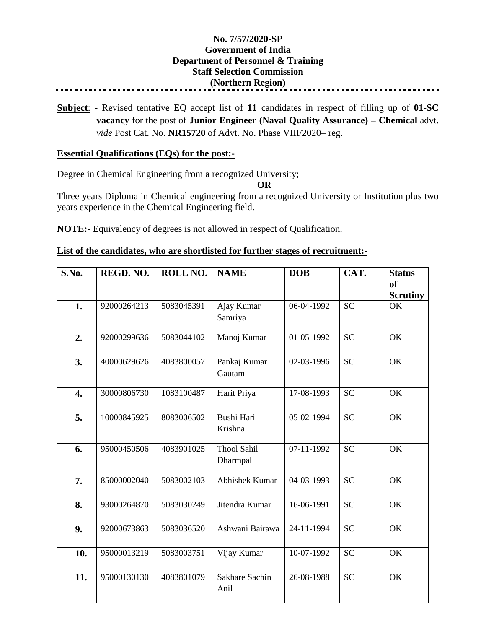## **No. 7/57/2020-SP Government of India Department of Personnel & Training Staff Selection Commission (Northern Region)**

**Subject**: - Revised tentative EQ accept list of **11** candidates in respect of filling up of **01-SC vacancy** for the post of **Junior Engineer (Naval Quality Assurance) – Chemical** advt. *vide* Post Cat. No. **NR15720** of Advt. No. Phase VIII/2020– reg.

## **Essential Qualifications (EQs) for the post:-**

Degree in Chemical Engineering from a recognized University;

**OR**

Three years Diploma in Chemical engineering from a recognized University or Institution plus two years experience in the Chemical Engineering field.

**NOTE:-** Equivalency of degrees is not allowed in respect of Qualification.

| List of the candidates, who are shortlisted for further stages of recruitment:- |  |  |
|---------------------------------------------------------------------------------|--|--|
|                                                                                 |  |  |

| S.No. | REGD. NO.   | ROLL NO.   | <b>NAME</b>                    | <b>DOB</b> | CAT.      | <b>Status</b><br><sub>of</sub><br><b>Scrutiny</b> |
|-------|-------------|------------|--------------------------------|------------|-----------|---------------------------------------------------|
| 1.    | 92000264213 | 5083045391 | Ajay Kumar<br>Samriya          | 06-04-1992 | <b>SC</b> | OK                                                |
| 2.    | 92000299636 | 5083044102 | Manoj Kumar                    | 01-05-1992 | <b>SC</b> | OK                                                |
| 3.    | 40000629626 | 4083800057 | Pankaj Kumar<br>Gautam         | 02-03-1996 | <b>SC</b> | OK                                                |
| 4.    | 30000806730 | 1083100487 | Harit Priya                    | 17-08-1993 | <b>SC</b> | OK                                                |
| 5.    | 10000845925 | 8083006502 | Bushi Hari<br>Krishna          | 05-02-1994 | <b>SC</b> | OK                                                |
| 6.    | 95000450506 | 4083901025 | <b>Thool Sahil</b><br>Dharmpal | 07-11-1992 | <b>SC</b> | OK                                                |
| 7.    | 85000002040 | 5083002103 | Abhishek Kumar                 | 04-03-1993 | <b>SC</b> | OK                                                |
| 8.    | 93000264870 | 5083030249 | Jitendra Kumar                 | 16-06-1991 | <b>SC</b> | OK                                                |
| 9.    | 92000673863 | 5083036520 | Ashwani Bairawa                | 24-11-1994 | <b>SC</b> | OK                                                |
| 10.   | 95000013219 | 5083003751 | Vijay Kumar                    | 10-07-1992 | <b>SC</b> | OK                                                |
| 11.   | 95000130130 | 4083801079 | Sakhare Sachin<br>Anil         | 26-08-1988 | <b>SC</b> | OK                                                |